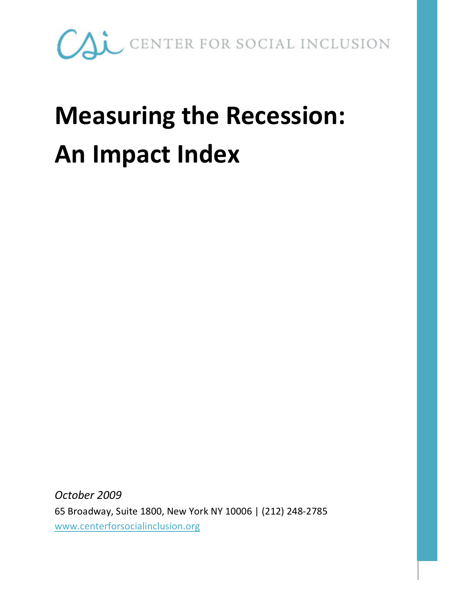

### Measuring the Recession: An Impact Index

October 2009 65 Broadway, Suite 1800, New York NY 10006 | (212) 248-2785 www.centerforsocialinclusion.org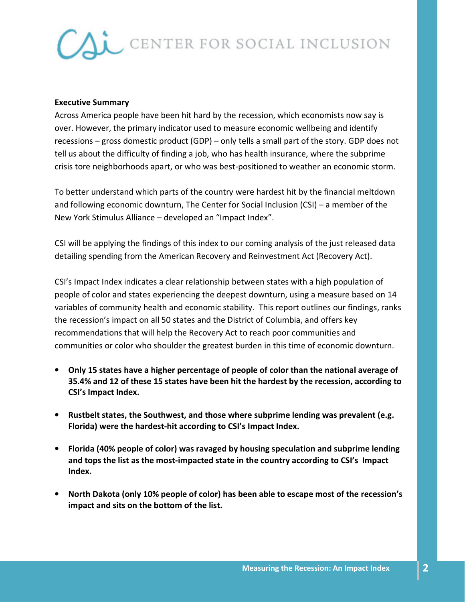#### Executive Summary

Across America people have been hit hard by the recession, which economists now say is over. However, the primary indicator used to measure economic wellbeing and identify recessions – gross domestic product (GDP) – only tells a small part of the story. GDP does not tell us about the difficulty of finding a job, who has health insurance, where the subprime crisis tore neighborhoods apart, or who was best-positioned to weather an economic storm.

To better understand which parts of the country were hardest hit by the financial meltdown and following economic downturn, The Center for Social Inclusion (CSI) – a member of the New York Stimulus Alliance – developed an "Impact Index".

CSI will be applying the findings of this index to our coming analysis of the just released data detailing spending from the American Recovery and Reinvestment Act (Recovery Act).

CSI's Impact Index indicates a clear relationship between states with a high population of people of color and states experiencing the deepest downturn, using a measure based on 14 variables of community health and economic stability. This report outlines our findings, ranks the recession's impact on all 50 states and the District of Columbia, and offers key recommendations that will help the Recovery Act to reach poor communities and communities or color who shoulder the greatest burden in this time of economic downturn.

- Only 15 states have a higher percentage of people of color than the national average of 35.4% and 12 of these 15 states have been hit the hardest by the recession, according to CSI's Impact Index.
- Rustbelt states, the Southwest, and those where subprime lending was prevalent (e.g. Florida) were the hardest-hit according to CSI's Impact Index.
- Florida (40% people of color) was ravaged by housing speculation and subprime lending and tops the list as the most-impacted state in the country according to CSI's Impact Index.
- North Dakota (only 10% people of color) has been able to escape most of the recession's impact and sits on the bottom of the list.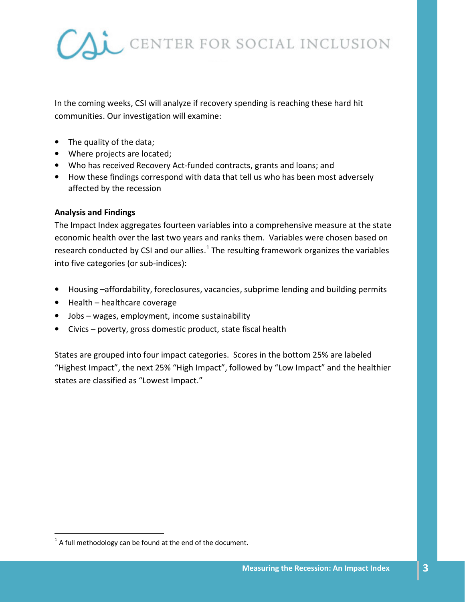

In the coming weeks, CSI will analyze if recovery spending is reaching these hard hit communities. Our investigation will examine:

- The quality of the data;
- Where projects are located;
- Who has received Recovery Act-funded contracts, grants and loans; and
- How these findings correspond with data that tell us who has been most adversely affected by the recession

#### Analysis and Findings

The Impact Index aggregates fourteen variables into a comprehensive measure at the state economic health over the last two years and ranks them. Variables were chosen based on research conducted by CSI and our allies. $^{1}$  The resulting framework organizes the variables into five categories (or sub-indices):

- Housing –affordability, foreclosures, vacancies, subprime lending and building permits
- Health healthcare coverage
- Jobs wages, employment, income sustainability
- Civics poverty, gross domestic product, state fiscal health

States are grouped into four impact categories. Scores in the bottom 25% are labeled "Highest Impact", the next 25% "High Impact", followed by "Low Impact" and the healthier states are classified as "Lowest Impact."

<u>.</u>

 $1$  A full methodology can be found at the end of the document.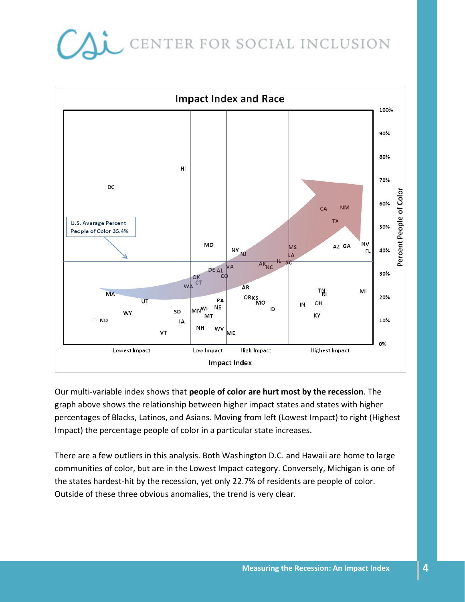

Our multi-variable index shows that people of color are hurt most by the recession. The graph above shows the relationship between higher impact states and states with higher percentages of Blacks, Latinos, and Asians. Moving from left (Lowest Impact) to right (Highest Impact) the percentage people of color in a particular state increases.

There are a few outliers in this analysis. Both Washington D.C. and Hawaii are home to large communities of color, but are in the Lowest Impact category. Conversely, Michigan is one of the states hardest-hit by the recession, yet only 22.7% of residents are people of color. Outside of these three obvious anomalies, the trend is very clear.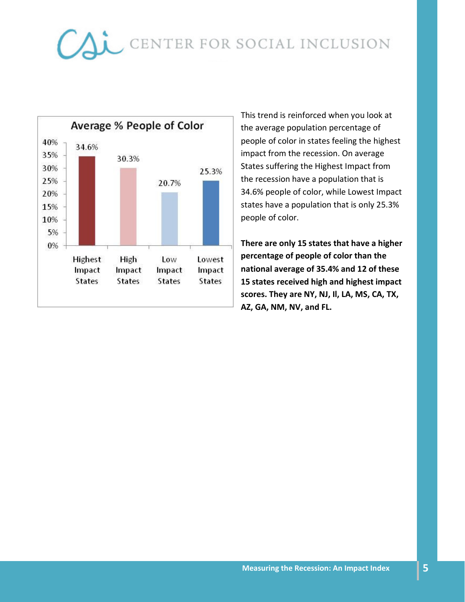

This trend is reinforced when you look at the average population percentage of people of color in states feeling the highest impact from the recession. On average States suffering the Highest Impact from the recession have a population that is 34.6% people of color, while Lowest Impact states have a population that is only 25.3% people of color.

There are only 15 states that have a higher percentage of people of color than the national average of 35.4% and 12 of these 15 states received high and highest impact scores. They are NY, NJ, Il, LA, MS, CA, TX, AZ, GA, NM, NV, and FL.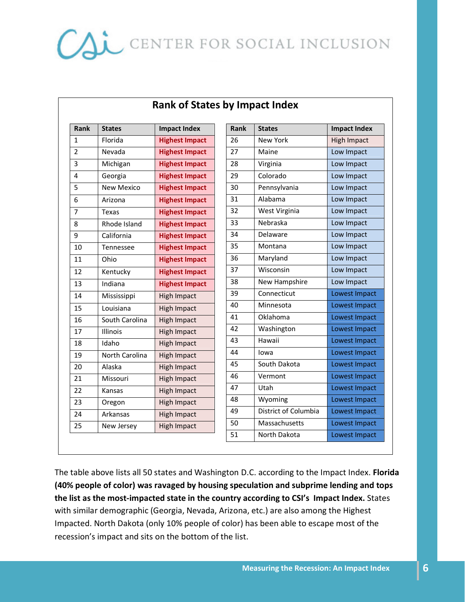| Rank           | <b>States</b>  | <b>Impact Index</b>   | Rank | <b>States</b>        | <b>Impact Index</b> |
|----------------|----------------|-----------------------|------|----------------------|---------------------|
| $\mathbf{1}$   | Florida        | <b>Highest Impact</b> | 26   | <b>New York</b>      | <b>High Impact</b>  |
| $\overline{2}$ | Nevada         | <b>Highest Impact</b> | 27   | Maine                | Low Impact          |
| 3              | Michigan       | <b>Highest Impact</b> | 28   | Virginia             | Low Impact          |
| 4              | Georgia        | <b>Highest Impact</b> | 29   | Colorado             | Low Impact          |
| 5              | New Mexico     | <b>Highest Impact</b> | 30   | Pennsylvania         | Low Impact          |
| 6              | Arizona        | <b>Highest Impact</b> | 31   | Alabama              | Low Impact          |
| $\overline{7}$ | Texas          | <b>Highest Impact</b> | 32   | West Virginia        | Low Impact          |
| 8              | Rhode Island   | <b>Highest Impact</b> | 33   | Nebraska             | Low Impact          |
| 9              | California     | <b>Highest Impact</b> | 34   | Delaware             | Low Impact          |
| 10             | Tennessee      | <b>Highest Impact</b> | 35   | Montana              | Low Impact          |
| 11             | Ohio           | <b>Highest Impact</b> | 36   | Maryland             | Low Impact          |
| 12             | Kentucky       | <b>Highest Impact</b> | 37   | Wisconsin            | Low Impact          |
| 13             | Indiana        | <b>Highest Impact</b> | 38   | New Hampshire        | Low Impact          |
| 14             | Mississippi    | <b>High Impact</b>    | 39   | Connecticut          | Lowest Impact       |
| 15             | Louisiana      | <b>High Impact</b>    | 40   | Minnesota            | Lowest Impact       |
| 16             | South Carolina | <b>High Impact</b>    | 41   | Oklahoma             | Lowest Impact       |
| 17             | Illinois       | <b>High Impact</b>    | 42   | Washington           | Lowest Impact       |
| 18             | Idaho          | <b>High Impact</b>    | 43   | Hawaii               | Lowest Impact       |
| 19             | North Carolina | <b>High Impact</b>    | 44   | lowa                 | Lowest Impact       |
| 20             | Alaska         | <b>High Impact</b>    | 45   | South Dakota         | Lowest Impact       |
| 21             | Missouri       | <b>High Impact</b>    | 46   | Vermont              | Lowest Impact       |
| 22             | Kansas         | <b>High Impact</b>    | 47   | Utah                 | Lowest Impact       |
| 23             | Oregon         | <b>High Impact</b>    | 48   | Wyoming              | Lowest Impact       |
| 24             | Arkansas       | <b>High Impact</b>    | 49   | District of Columbia | Lowest Impact       |
| 25             | New Jersey     | <b>High Impact</b>    | 50   | Massachusetts        | Lowest Impact       |
|                |                |                       | 51   | North Dakota         | Lowest Impact       |

### Rank of States by Impact Index

The table above lists all 50 states and Washington D.C. according to the Impact Index. Florida (40% people of color) was ravaged by housing speculation and subprime lending and tops the list as the most-impacted state in the country according to CSI's Impact Index. States with similar demographic (Georgia, Nevada, Arizona, etc.) are also among the Highest Impacted. North Dakota (only 10% people of color) has been able to escape most of the recession's impact and sits on the bottom of the list.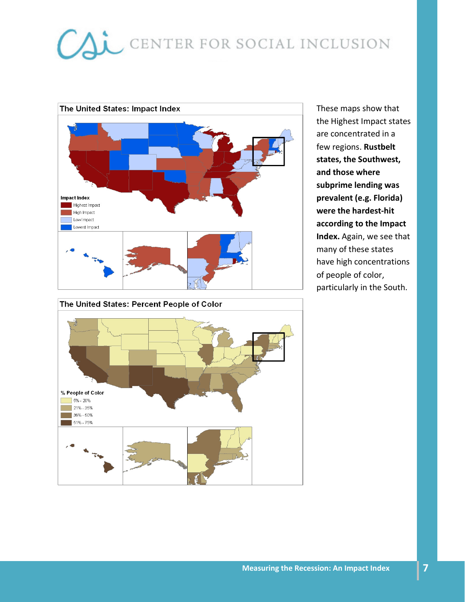

These maps show that the Highest Impact states are concentrated in a few regions. Rustbelt states, the Southwest, and those where subprime lending was prevalent (e.g. Florida) were the hardest-hit according to the Impact Index. Again, we see that many of these states have high concentrations of people of color, particularly in the South.

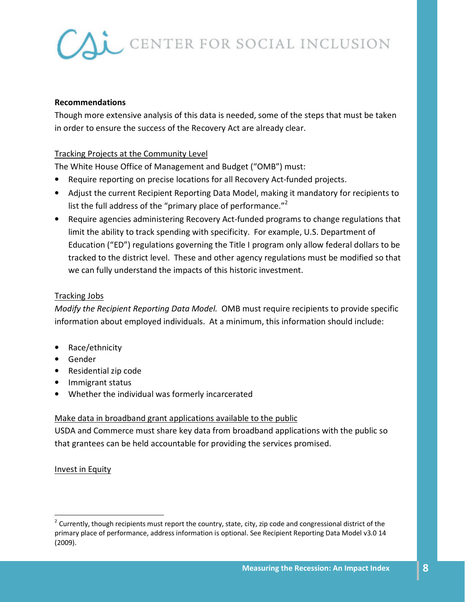### Recommendations

Though more extensive analysis of this data is needed, some of the steps that must be taken in order to ensure the success of the Recovery Act are already clear.

### Tracking Projects at the Community Level

The White House Office of Management and Budget ("OMB") must:

- Require reporting on precise locations for all Recovery Act-funded projects.
- Adjust the current Recipient Reporting Data Model, making it mandatory for recipients to list the full address of the "primary place of performance."<sup>2</sup>
- Require agencies administering Recovery Act-funded programs to change regulations that limit the ability to track spending with specificity. For example, U.S. Department of Education ("ED") regulations governing the Title I program only allow federal dollars to be tracked to the district level. These and other agency regulations must be modified so that we can fully understand the impacts of this historic investment.

#### Tracking Jobs

Modify the Recipient Reporting Data Model. OMB must require recipients to provide specific information about employed individuals. At a minimum, this information should include:

- Race/ethnicity
- Gender
- Residential zip code
- Immigrant status
- Whether the individual was formerly incarcerated

### Make data in broadband grant applications available to the public

USDA and Commerce must share key data from broadband applications with the public so that grantees can be held accountable for providing the services promised.

Invest in Equity

<u>.</u>

<sup>&</sup>lt;sup>2</sup> Currently, though recipients must report the country, state, city, zip code and congressional district of the primary place of performance, address information is optional. See Recipient Reporting Data Model v3.0 14 (2009).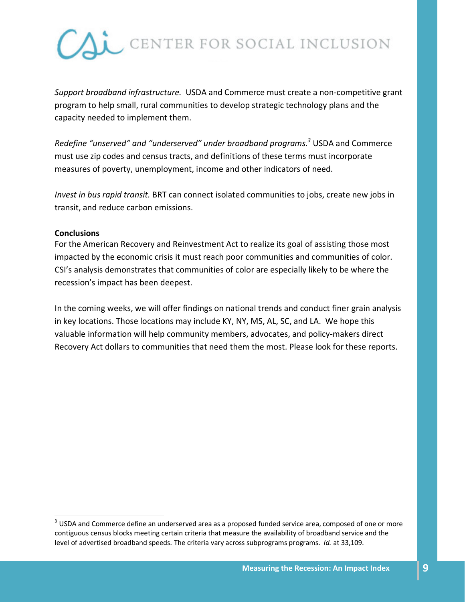

Support broadband infrastructure. USDA and Commerce must create a non-competitive grant program to help small, rural communities to develop strategic technology plans and the capacity needed to implement them.

Redefine "unserved" and "underserved" under broadband programs.<sup>3</sup> USDA and Commerce must use zip codes and census tracts, and definitions of these terms must incorporate measures of poverty, unemployment, income and other indicators of need.

Invest in bus rapid transit. BRT can connect isolated communities to jobs, create new jobs in transit, and reduce carbon emissions.

#### **Conclusions**

<u>.</u>

For the American Recovery and Reinvestment Act to realize its goal of assisting those most impacted by the economic crisis it must reach poor communities and communities of color. CSI's analysis demonstrates that communities of color are especially likely to be where the recession's impact has been deepest.

In the coming weeks, we will offer findings on national trends and conduct finer grain analysis in key locations. Those locations may include KY, NY, MS, AL, SC, and LA. We hope this valuable information will help community members, advocates, and policy-makers direct Recovery Act dollars to communities that need them the most. Please look for these reports.

 $3$  USDA and Commerce define an underserved area as a proposed funded service area, composed of one or more contiguous census blocks meeting certain criteria that measure the availability of broadband service and the level of advertised broadband speeds. The criteria vary across subprograms programs. Id. at 33,109.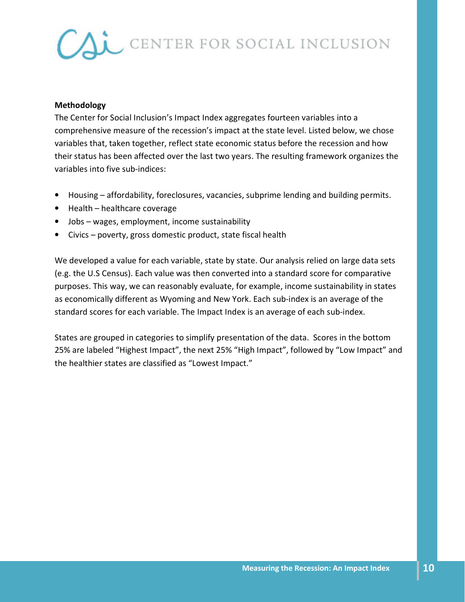#### Methodology

The Center for Social Inclusion's Impact Index aggregates fourteen variables into a comprehensive measure of the recession's impact at the state level. Listed below, we chose variables that, taken together, reflect state economic status before the recession and how their status has been affected over the last two years. The resulting framework organizes the variables into five sub-indices:

- Housing affordability, foreclosures, vacancies, subprime lending and building permits.
- Health healthcare coverage
- Jobs wages, employment, income sustainability
- Civics poverty, gross domestic product, state fiscal health

We developed a value for each variable, state by state. Our analysis relied on large data sets (e.g. the U.S Census). Each value was then converted into a standard score for comparative purposes. This way, we can reasonably evaluate, for example, income sustainability in states as economically different as Wyoming and New York. Each sub-index is an average of the standard scores for each variable. The Impact Index is an average of each sub-index.

States are grouped in categories to simplify presentation of the data. Scores in the bottom 25% are labeled "Highest Impact", the next 25% "High Impact", followed by "Low Impact" and the healthier states are classified as "Lowest Impact."